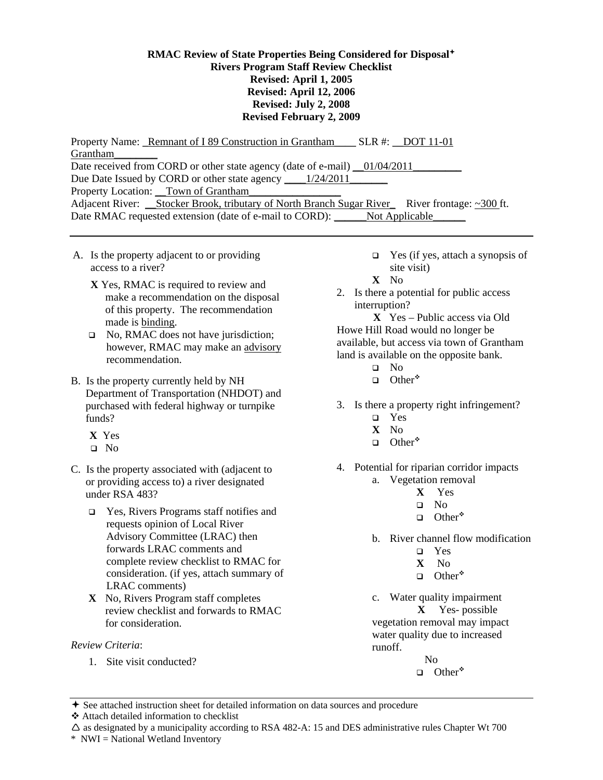## **RMAC Review of State Properties Being Considered for Disposal Rivers Program Staff Review Checklist Revised: April 1, 2005 Revised: April 12, 2006 Revised: July 2, 2008 Revised February 2, 2009**

Property Name: \_Remnant of I 89 Construction in Grantham\_\_\_\_ SLR #: \_\_DOT 11-01 Grantham\_\_\_\_\_\_\_\_ Date received from CORD or other state agency (date of e-mail) \_01/04/2011\_ Due Date Issued by CORD or other state agency \_\_\_\_\_\_\_ 1/24/2011\_\_\_\_\_\_\_\_\_\_\_\_\_\_\_\_\_\_ Property Location: \_\_Town of Grantham\_\_\_\_\_\_\_\_\_\_\_\_\_\_\_\_\_ Adjacent River: <u>Stocker Brook, tributary of North Branch Sugar River</u> River frontage: ~300 ft. Date RMAC requested extension (date of e-mail to CORD): \_\_\_\_\_\_Not Applicable\_

- A. Is the property adjacent to or providing access to a river?
	- **X** Yes, RMAC is required to review and make a recommendation on the disposal of this property. The recommendation made is binding.
	- $\Box$  No, RMAC does not have jurisdiction; however, RMAC may make an advisory recommendation.
- B. Is the property currently held by NH Department of Transportation (NHDOT) and purchased with federal highway or turnpike funds?
	- **X** Yes
	- No
- C. Is the property associated with (adjacent to or providing access to) a river designated under RSA 483?
	- Yes, Rivers Programs staff notifies and requests opinion of Local River Advisory Committee (LRAC) then forwards LRAC comments and complete review checklist to RMAC for consideration. (if yes, attach summary of LRAC comments)
	- **X** No, Rivers Program staff completes review checklist and forwards to RMAC for consideration.

## *Review Criteria*:

1. Site visit conducted?

- $\Box$  Yes (if yes, attach a synopsis of site visit)
- **X** No
- 2. Is there a potential for public access interruption?

**X** Yes – Public access via Old Howe Hill Road would no longer be available, but access via town of Grantham land is available on the opposite bank.

- No
- $\Box$  Other\*
- 3. Is there a property right infringement?
	- Yes
		- **X** No
	- $\Box$  Other\*
- 4. Potential for riparian corridor impacts
	- a. Vegetation removal
		- **X** Yes
		- No
		- $\Box$  Other\*
	- b. River channel flow modification
		- Yes
		- **X** No
		- $\Box$  Other\*
	- c. Water quality impairment **X** Yes- possible vegetation removal may impact water quality due to increased runoff. No
		- $\Box$  Other\*

See attached instruction sheet for detailed information on data sources and procedure

Attach detailed information to checklist

 $\Delta$  as designated by a municipality according to RSA 482-A: 15 and DES administrative rules Chapter Wt 700

\* NWI = National Wetland Inventory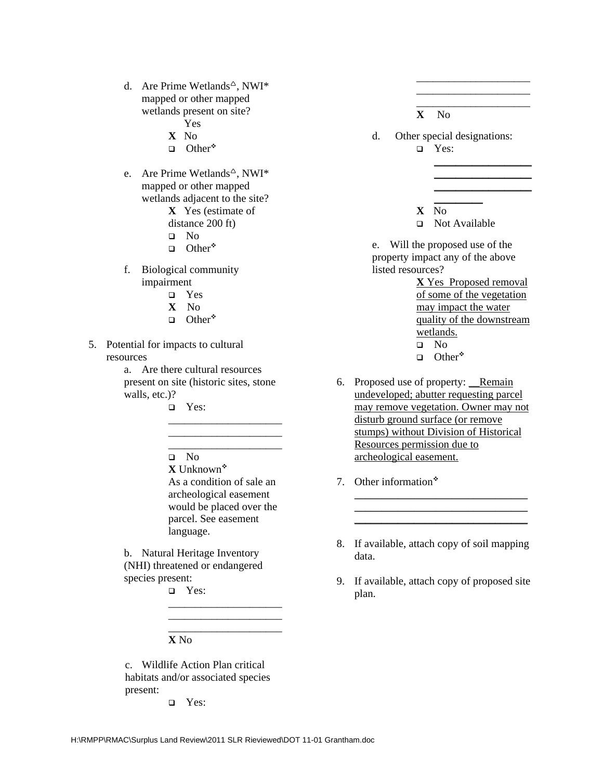d. Are Prime Wetlands<sup> $\triangle$ </sup>, NWI\* mapped or other mapped wetlands present on site?

Yes

- **X** No
- $\Box$  Other\*
- e. Are Prime Wetlands<sup> $\triangle$ </sup>, NWI\* mapped or other mapped wetlands adjacent to the site? **X** Yes (estimate of distance 200 ft)
	- No
	- $\Box$  Other\*
	-
- f. Biological community impairment
	- Yes
	- **X** No
	- $\Box$  Other\*
- 5. Potential for impacts to cultural resources
	- a. Are there cultural resources present on site (historic sites, stone walls, etc.)?
		- Yes:
		- No

**X** Unknown

As a condition of sale an archeological easement would be placed over the parcel. See easement language.

\_\_\_\_\_\_\_\_\_\_\_\_\_\_\_\_\_\_\_\_\_ \_\_\_\_\_\_\_\_\_\_\_\_\_\_\_\_\_\_\_\_\_

\_\_\_\_\_\_\_\_\_\_\_\_\_\_\_\_\_\_\_\_\_ \_\_\_\_\_\_\_\_\_\_\_\_\_\_\_\_\_\_\_\_\_ \_\_\_\_\_\_\_\_\_\_\_\_\_\_\_\_\_\_\_\_\_

b. Natural Heritage Inventory (NHI) threatened or endangered species present:

Yes:

**X** No

c. Wildlife Action Plan critical habitats and/or associated species present:

Yes:

| ۰. |
|----|
|----|

d. Other special designations: Yes:

\_\_\_\_\_\_\_\_\_\_\_\_\_\_\_\_\_\_\_\_\_ \_\_\_\_\_\_\_\_\_\_\_\_\_\_\_\_\_\_\_\_\_ \_\_\_\_\_\_\_\_\_\_\_\_\_\_\_\_\_\_\_\_\_

> \_\_\_\_\_\_\_\_\_\_\_\_\_\_\_\_\_\_ \_\_\_\_\_\_\_\_\_\_\_\_\_\_\_\_\_\_

\_\_\_\_\_\_\_\_\_\_\_\_\_\_\_\_\_\_

- $\overline{\phantom{a}}$ **X** No
- □ Not Available

e. Will the proposed use of the property impact any of the above listed resources?

**X** Yes Proposed removal of some of the vegetation may impact the water quality of the downstream wetlands. No

 $\Box$  Other\*

- 6. Proposed use of property: Remain undeveloped; abutter requesting parcel may remove vegetation. Owner may not disturb ground surface (or remove stumps) without Division of Historical Resources permission due to archeological easement.
- 7. Other information
- 8. If available, attach copy of soil mapping data.

\_\_\_\_\_\_\_\_\_\_\_\_\_\_\_\_\_\_\_\_\_\_\_\_\_\_\_\_\_\_\_\_ \_\_\_\_\_\_\_\_\_\_\_\_\_\_\_\_\_\_\_\_\_\_\_\_\_\_\_\_\_\_\_\_ \_\_\_\_\_\_\_\_\_\_\_\_\_\_\_\_\_\_\_\_\_\_\_\_\_\_\_\_\_\_\_\_

9. If available, attach copy of proposed site plan.